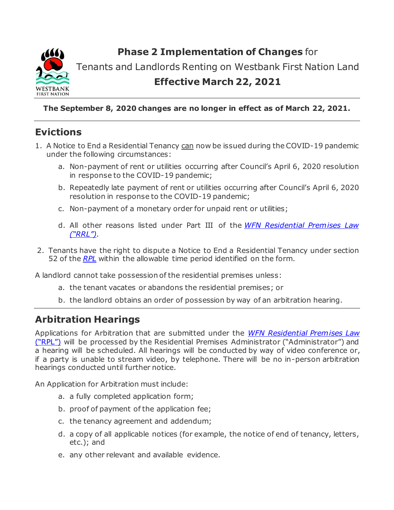

**Phase 2 Implementation of Changes** for

Tenants and Landlords Renting on Westbank First Nation Land

## **Effective March 22, 2021**

**The September 8, 2020 changes are no longer in effect as of March 22, 2021.**

# **Evictions**

- 1. A Notice to End a Residential Tenancy can now be issued during the COVID-19 pandemic under the following circumstances:
	- a. Non-payment of rent or utilities occurring after Council's April 6, 2020 resolution in response to the COVID-19 pandemic;
	- b. Repeatedly late payment of rent or utilities occurring after Council's April 6, 2020 resolution in response to the COVID-19 pandemic;
	- c. Non-payment of a monetary order for unpaid rent or utilities;
	- d. All other reasons listed under Part III of the *WFN [Residential](https://www.wfn.ca/docs/2008-03-residential-premises-law.pdf) Premises Law ("RRL")*.
- 2. Tenants have the right to dispute a Notice to End a Residential Tenancy under section 52 of the *[RPL](https://www.wfn.ca/docs/2008-03-residential-premises-law.pdf)* within the allowable time period identified on the form.

A landlord cannot take possession of the residential premises unless:

- a. the tenant vacates or abandons the residential premises; or
- b. the landlord obtains an order of possession by way of an arbitration hearing.

## **Arbitration Hearings**

Applications for Arbitration that are submitted under the *[WFN Residential Premises Law](https://www.wfn.ca/docs/2008-03-residential-premises-law.pdf)* [\("RPL"\)](https://www.wfn.ca/docs/2008-03-residential-premises-law.pdf) will be processed by the Residential Premises Administrator ("Administrator") and a hearing will be scheduled. All hearings will be conducted by way of video conference or, if a party is unable to stream video, by telephone. There will be no in-person arbitration hearings conducted until further notice.

An Application for Arbitration must include:

- a. a fully completed application form;
- b. proof of payment of the application fee;
- c. the tenancy agreement and addendum;
- d. a copy of all applicable notices (for example, the notice of end of tenancy, letters, etc.); and
- e. any other relevant and available evidence.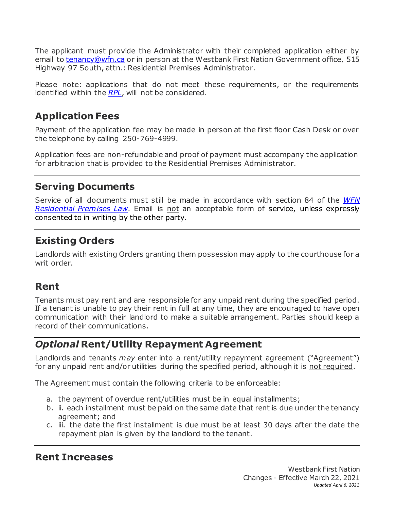The applicant must provide the Administrator with their completed application either by email to [tenancy@wfn.ca](mailto:tenancy@wfn.ca) or in person at the Westbank First Nation Government office, 515 Highway 97 South, attn.: Residential Premises Administrator.

Please note: applications that do not meet these requirements, or the requirements identified within the *[RPL](https://www.wfn.ca/docs/2008-03-residential-premises-law.pdf)*, will not be considered.

# **Application Fees**

Payment of the application fee may be made in person at the first floor Cash Desk or over the telephone by calling 250-769-4999.

Application fees are non-refundable and proof of payment must accompany the application for arbitration that is provided to the Residential Premises Administrator.

#### **Serving Documents**

Service of all documents must still be made in accordance with section 84 of the *[WFN](https://www.wfn.ca/docs/2008-03-residential-premises-law.pdf)* **[Residential Premises Law](https://www.wfn.ca/docs/2008-03-residential-premises-law.pdf)**. Email is not an acceptable form of service, unless expressly consented to in writing by the other party.

# **Existing Orders**

Landlords with existing Orders granting them possession may apply to the courthouse for a writ order.

## **Rent**

Tenants must pay rent and are responsible for any unpaid rent during the specified period. If a tenant is unable to pay their rent in full at any time, they are encouraged to have open communication with their landlord to make a suitable arrangement. Parties should keep a record of their communications.

#### *Optional* **Rent/Utility Repayment Agreement**

Landlords and tenants *may* enter into a rent/utility repayment agreement ("Agreement") for any unpaid rent and/or utilities during the specified period, although it is not required.

The Agreement must contain the following criteria to be enforceable:

- a. the payment of overdue rent/utilities must be in equal installments;
- b. ii. each installment must be paid on the same date that rent is due under the tenancy agreement; and
- c. iii. the date the first installment is due must be at least 30 days after the date the repayment plan is given by the landlord to the tenant.

## **Rent Increases**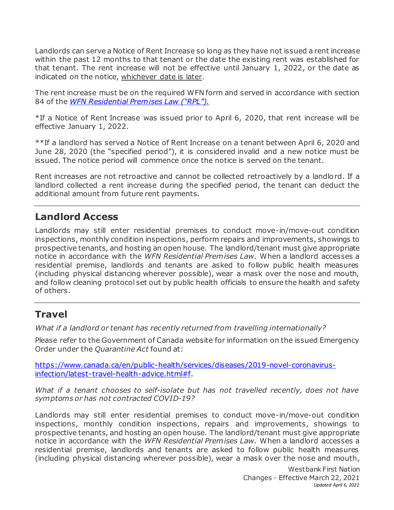Landlords can serve a Notice of Rent Increase so long as they have not issued a rent increase within the past 12 months to that tenant or the date the existing rent was established for that tenant. The rent increase will not be effective until January 1, 2022, or the date as indicated on the notice, whichever date is later.

The rent increase must be on the required WFN form and served in accordance with section 84 of the *WFN [Residential](https://www.wfn.ca/docs/2008-03-residential-premises-law.pdf) Premises Law ("RPL").*

\*If a Notice of Rent Increase was issued prior to April 6, 2020, that rent increase will be effective January 1, 2022.

\*\*If a landlord has served a Notice of Rent Increase on a tenant between April 6, 2020 and June 28, 2020 (the "specified period"), it is considered invalid and a new notice must be issued. The notice period will commence once the notice is served on the tenant.

Rent increases are not retroactive and cannot be collected retroactively by a landlord. If a landlord collected a rent increase during the specified period, the tenant can deduct the additional amount from future rent payments.

#### **Landlord Access**

Landlords may still enter residential premises to conduct move-in/move-out condition inspections, monthly condition inspections, perform repairs and improvements, showings to prospective tenants, and hosting an open house. The landlord/tenant must give appropriate notice in accordance with the *WFN Residential Premises Law*. When a landlord accesses a residential premise, landlords and tenants are asked to follow public health measures (including physical distancing wherever possible), wear a mask over the nose and mouth, and follow cleaning protocol set out by public health officials to ensure the health and safety of others.

## **Travel**

*What if a landlord or tenant has recently returned from travelling internationally?*

Please refer to the Government of Canada website for information on the issued Emergency Order under the *Quarantine Act* found at:

[https://www.canada.ca/en/public-health/services/diseases/2019-novel-coronavirus](https://www.canada.ca/en/public-health/services/diseases/2019-novel-coronavirus-infection/latest-travel-health-advice.html#f)[infection/latest-travel-health-advice.html#f.](https://www.canada.ca/en/public-health/services/diseases/2019-novel-coronavirus-infection/latest-travel-health-advice.html#f)

*What if a tenant chooses to self-isolate but has not travelled recently, does not have symptoms or has not contracted COVID-19?*

Landlords may still enter residential premises to conduct move-in/move-out condition inspections, monthly condition inspections, repairs and improvements, showings to prospective tenants, and hosting an open house. The landlord/tenant must give appropriate notice in accordance with the *WFN Residential Premises Law*. When a landlord accesses a residential premise, landlords and tenants are asked to follow public health measures (including physical distancing wherever possible), wear a mask over the nose and mouth,